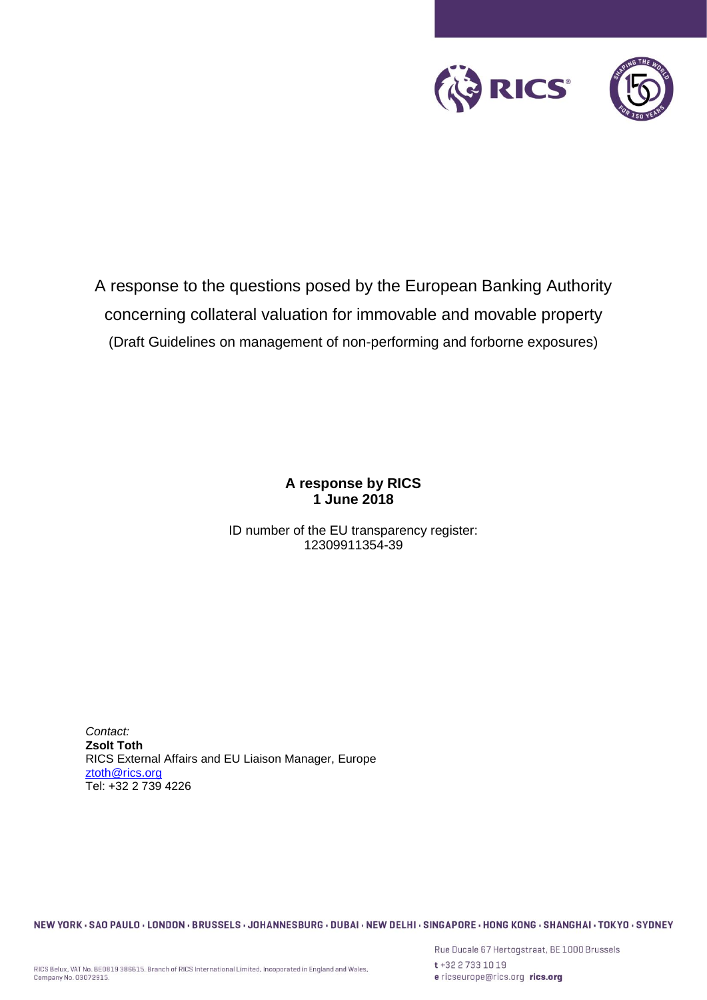

A response to the questions posed by the European Banking Authority concerning collateral valuation for immovable and movable property (Draft Guidelines on management of non-performing and forborne exposures)

> **A response by RICS 1 June 2018**

ID number of the EU transparency register: 12309911354-39

*Contact:* **Zsolt Toth** RICS External Affairs and EU Liaison Manager, Europe [ztoth@rics.org](mailto:ztoth@rics.org) Tel: +32 2 739 4226

NEW YORK · SAO PAULO · LONDON · BRUSSELS · JOHANNESBURG · DUBAI · NEW DELHI · SINGAPORE · HONG KONG · SHANGHAI · TOKYO · SYDNEY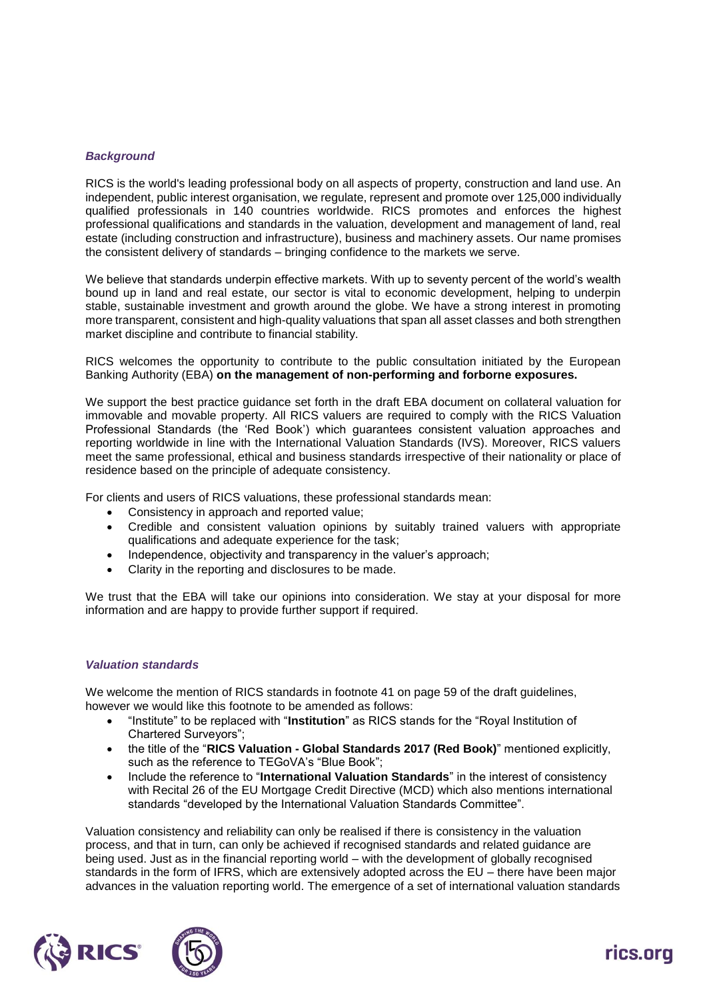# *Background*

RICS is the world's leading professional body on all aspects of property, construction and land use. An independent, public interest organisation, we regulate, represent and promote over 125,000 individually qualified professionals in 140 countries worldwide. RICS promotes and enforces the highest professional qualifications and standards in the valuation, development and management of land, real estate (including construction and infrastructure), business and machinery assets. Our name promises the consistent delivery of standards – bringing confidence to the markets we serve.

We believe that standards underpin effective markets. With up to seventy percent of the world's wealth bound up in land and real estate, our sector is vital to economic development, helping to underpin stable, sustainable investment and growth around the globe. We have a strong interest in promoting more transparent, consistent and high-quality valuations that span all asset classes and both strengthen market discipline and contribute to financial stability.

RICS welcomes the opportunity to contribute to the public consultation initiated by the European Banking Authority (EBA) **on the management of non-performing and forborne exposures.**

We support the best practice guidance set forth in the draft EBA document on collateral valuation for immovable and movable property. All RICS valuers are required to comply with the RICS Valuation Professional Standards (the 'Red Book') which guarantees consistent valuation approaches and reporting worldwide in line with the International Valuation Standards (IVS). Moreover, RICS valuers meet the same professional, ethical and business standards irrespective of their nationality or place of residence based on the principle of adequate consistency.

For clients and users of RICS valuations, these professional standards mean:

- Consistency in approach and reported value;
- Credible and consistent valuation opinions by suitably trained valuers with appropriate qualifications and adequate experience for the task;
- Independence, objectivity and transparency in the valuer's approach;
- Clarity in the reporting and disclosures to be made.

We trust that the EBA will take our opinions into consideration. We stay at your disposal for more information and are happy to provide further support if required.

#### *Valuation standards*

We welcome the mention of RICS standards in footnote 41 on page 59 of the draft guidelines, however we would like this footnote to be amended as follows:

- "Institute" to be replaced with "**Institution**" as RICS stands for the "Royal Institution of Chartered Surveyors";
- the title of the "**RICS Valuation - Global Standards 2017 (Red Book)**" mentioned explicitly, such as the reference to TEGoVA's "Blue Book";
- Include the reference to "**International Valuation Standards**" in the interest of consistency with Recital 26 of the EU Mortgage Credit Directive (MCD) which also mentions international standards "developed by the International Valuation Standards Committee".

Valuation consistency and reliability can only be realised if there is consistency in the valuation process, and that in turn, can only be achieved if recognised standards and related guidance are being used. Just as in the financial reporting world – with the development of globally recognised standards in the form of IFRS, which are extensively adopted across the EU – there have been major advances in the valuation reporting world. The emergence of a set of international valuation standards



# rics.ora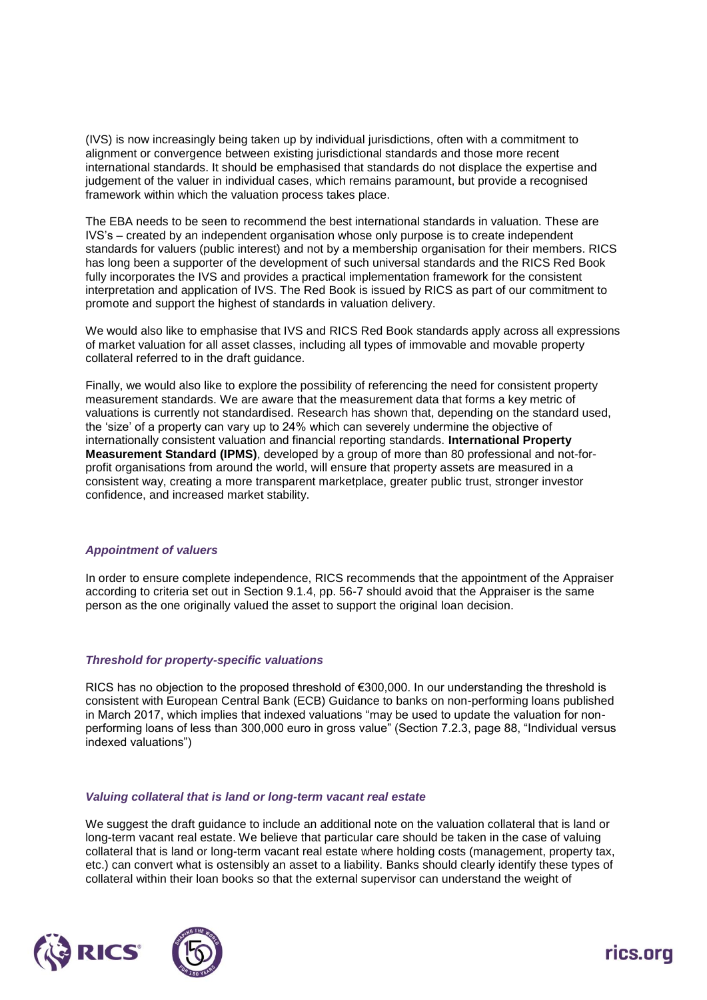(IVS) is now increasingly being taken up by individual jurisdictions, often with a commitment to alignment or convergence between existing jurisdictional standards and those more recent international standards. It should be emphasised that standards do not displace the expertise and judgement of the valuer in individual cases, which remains paramount, but provide a recognised framework within which the valuation process takes place.

The EBA needs to be seen to recommend the best international standards in valuation. These are IVS's – created by an independent organisation whose only purpose is to create independent standards for valuers (public interest) and not by a membership organisation for their members. RICS has long been a supporter of the development of such universal standards and the RICS Red Book fully incorporates the IVS and provides a practical implementation framework for the consistent interpretation and application of IVS. The Red Book is issued by RICS as part of our commitment to promote and support the highest of standards in valuation delivery.

We would also like to emphasise that IVS and RICS Red Book standards apply across all expressions of market valuation for all asset classes, including all types of immovable and movable property collateral referred to in the draft guidance.

Finally, we would also like to explore the possibility of referencing the need for consistent property measurement standards. We are aware that the measurement data that forms a key metric of valuations is currently not standardised. Research has shown that, depending on the standard used, the 'size' of a property can vary up to 24% which can severely undermine the objective of internationally consistent valuation and financial reporting standards. **International Property Measurement Standard (IPMS)**, developed by a group of more than 80 professional and not-forprofit organisations from around the world, will ensure that property assets are measured in a consistent way, creating a more transparent marketplace, greater public trust, stronger investor confidence, and increased market stability.

# *Appointment of valuers*

In order to ensure complete independence, RICS recommends that the appointment of the Appraiser according to criteria set out in Section 9.1.4, pp. 56-7 should avoid that the Appraiser is the same person as the one originally valued the asset to support the original loan decision.

#### *Threshold for property-specific valuations*

RICS has no objection to the proposed threshold of €300,000. In our understanding the threshold is consistent with European Central Bank (ECB) Guidance to banks on non-performing loans published in March 2017, which implies that indexed valuations "may be used to update the valuation for nonperforming loans of less than 300,000 euro in gross value" (Section 7.2.3, page 88, "Individual versus indexed valuations")

#### *Valuing collateral that is land or long-term vacant real estate*

We suggest the draft guidance to include an additional note on the valuation collateral that is land or long-term vacant real estate. We believe that particular care should be taken in the case of valuing collateral that is land or long-term vacant real estate where holding costs (management, property tax, etc.) can convert what is ostensibly an asset to a liability. Banks should clearly identify these types of collateral within their loan books so that the external supervisor can understand the weight of



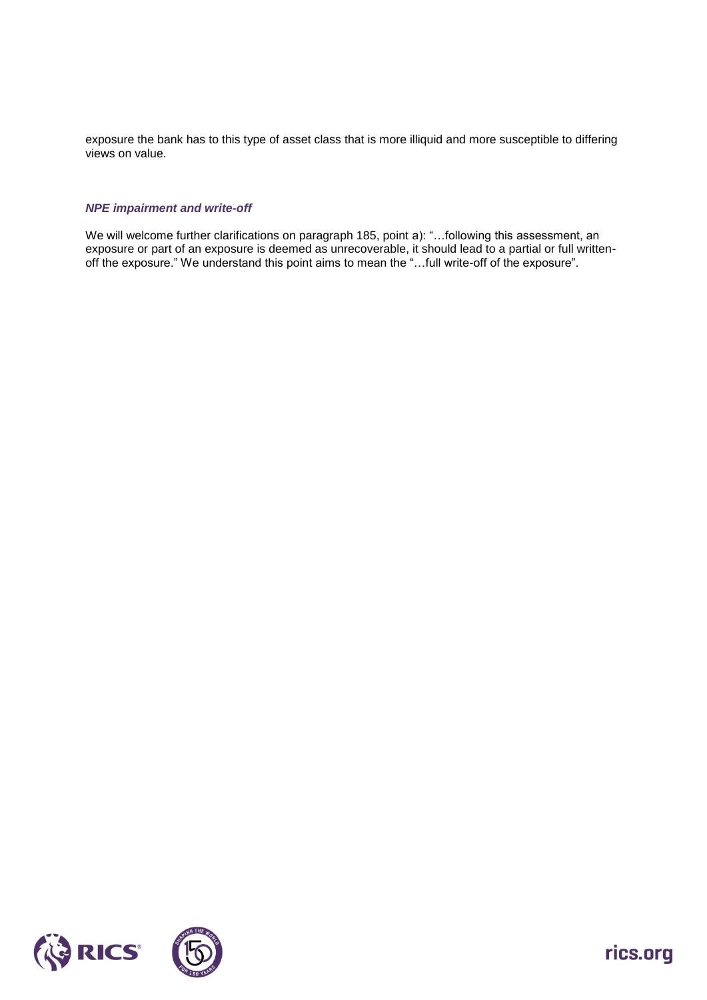exposure the bank has to this type of asset class that is more illiquid and more susceptible to differing views on value.

### *NPE impairment and write-off*

We will welcome further clarifications on paragraph 185, point a): "…following this assessment, an exposure or part of an exposure is deemed as unrecoverable, it should lead to a partial or full writtenoff the exposure." We understand this point aims to mean the "…full write-off of the exposure".



rics.org